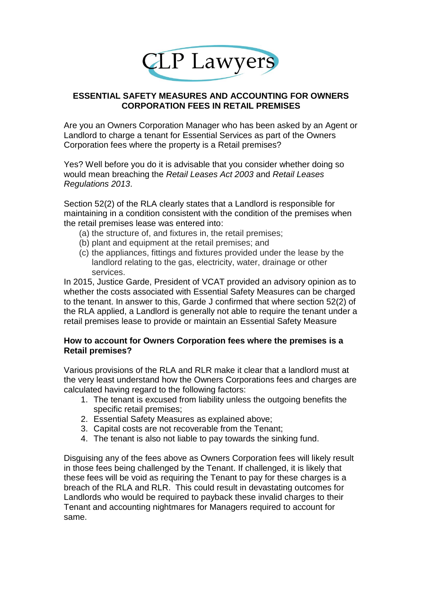

## **ESSENTIAL SAFETY MEASURES AND ACCOUNTING FOR OWNERS CORPORATION FEES IN RETAIL PREMISES**

Are you an Owners Corporation Manager who has been asked by an Agent or Landlord to charge a tenant for Essential Services as part of the Owners Corporation fees where the property is a Retail premises?

Yes? Well before you do it is advisable that you consider whether doing so would mean breaching the *Retail Leases Act 2003* and *Retail Leases Regulations 2013*.

Section 52(2) of the RLA clearly states that a Landlord is responsible for maintaining in a condition consistent with the condition of the premises when the retail premises lease was entered into:

- (a) the structure of, and fixtures in, the retail premises;
- (b) plant and equipment at the retail premises; and
- (c) the appliances, fittings and fixtures provided under the lease by the landlord relating to the gas, electricity, water, drainage or other services.

In 2015, Justice Garde, President of VCAT provided an advisory opinion as to whether the costs associated with Essential Safety Measures can be charged to the tenant. In answer to this, Garde J confirmed that where section 52(2) of the RLA applied, a Landlord is generally not able to require the tenant under a retail premises lease to provide or maintain an Essential Safety Measure

## **How to account for Owners Corporation fees where the premises is a Retail premises?**

Various provisions of the RLA and RLR make it clear that a landlord must at the very least understand how the Owners Corporations fees and charges are calculated having regard to the following factors:

- 1. The tenant is excused from liability unless the outgoing benefits the specific retail premises;
- 2. Essential Safety Measures as explained above;
- 3. Capital costs are not recoverable from the Tenant;
- 4. The tenant is also not liable to pay towards the sinking fund.

Disguising any of the fees above as Owners Corporation fees will likely result in those fees being challenged by the Tenant. If challenged, it is likely that these fees will be void as requiring the Tenant to pay for these charges is a breach of the RLA and RLR. This could result in devastating outcomes for Landlords who would be required to payback these invalid charges to their Tenant and accounting nightmares for Managers required to account for same.